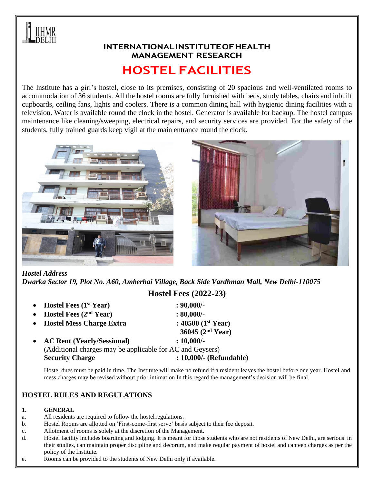

### **INTERNATIONALINSTITUTEOFHEALTH MANAGEMENT RESEARCH**

# **HOSTEL FACILITIES**

The Institute has a girl's hostel, close to its premises, consisting of 20 spacious and well-ventilated rooms to accommodation of 36 students. All the hostel rooms are fully furnished with beds, study tables, chairs and inbuilt cupboards, ceiling fans, lights and coolers. There is a common dining hall with hygienic dining facilities with a television. Water is available round the clock in the hostel. Generator is available for backup. The hostel campus maintenance like cleaning/sweeping, electrical repairs, and security services are provided. For the safety of the students, fully trained guards keep vigil at the main entrance round the clock.





#### *Hostel Address*

*Dwarka Sector 19, Plot No. A60, Amberhai Village, Back Side Vardhman Mall, New Delhi-110075* **Hostel Fees (2022-23)**

|           | • Hostel Fees $(1st Year)$                                | $: 90,000/$ -           |
|-----------|-----------------------------------------------------------|-------------------------|
| $\bullet$ | Hostel Fees $(2nd Year)$                                  | $: 80,000/$ -           |
| $\bullet$ | <b>Hostel Mess Charge Extra</b>                           | : 40500 $(1^{st}$ Year) |
|           |                                                           | 36045 $(2nd Year)$      |
| $\bullet$ | <b>AC Rent (Yearly/Sessional)</b>                         | $: 10,000/$ -           |
|           | (Additional charges may be applicable for AC and Geysers) |                         |
|           | <b>Security Charge</b>                                    | : 10,000/- (Refundable) |

Hostel dues must be paid in time. The Institute will make no refund if a resident leaves the hostel before one year. Hostel and mess charges may be revised without prior intimation In this regard the management's decision will be final.

#### **HOSTEL RULES AND REGULATIONS**

#### **1. GENERAL**

- a. All residents are required to follow the hostelregulations.
- b. Hostel Rooms are allotted on 'First-come-first serve' basis subject to their fee deposit.
- c. Allotment of rooms is solely at the discretion of the Management.
- d. Hostel facility includes boarding and lodging. It is meant for those students who are not residents of New Delhi, are serious in their studies, can maintain proper discipline and decorum, and make regular payment of hostel and canteen charges as per the policy of the Institute.
- e. Rooms can be provided to the students of New Delhi only if available.